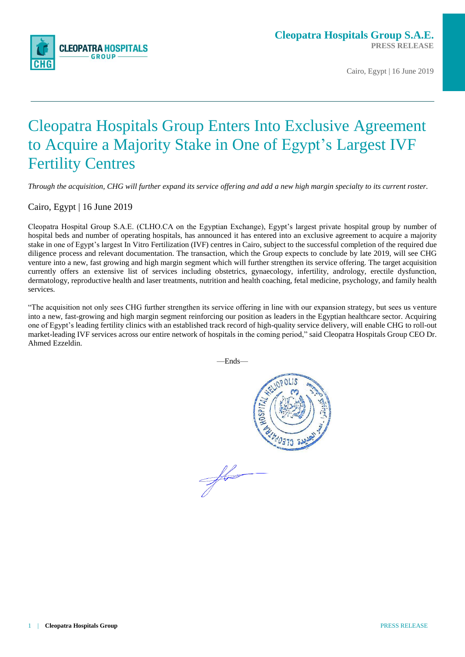

Cairo, Egypt | 16 June 2019

# Cleopatra Hospitals Group Enters Into Exclusive Agreement to Acquire a Majority Stake in One of Egypt's Largest IVF Fertility Centres

*Through the acquisition, CHG will further expand its service offering and add a new high margin specialty to its current roster.*

Cairo, Egypt | 16 June 2019

Cleopatra Hospital Group S.A.E. (CLHO.CA on the Egyptian Exchange), Egypt's largest private hospital group by number of hospital beds and number of operating hospitals, has announced it has entered into an exclusive agreement to acquire a majority stake in one of Egypt's largest In Vitro Fertilization (IVF) centres in Cairo, subject to the successful completion of the required due diligence process and relevant documentation. The transaction, which the Group expects to conclude by late 2019, will see CHG venture into a new, fast growing and high margin segment which will further strengthen its service offering. The target acquisition currently offers an extensive list of services including obstetrics, gynaecology, infertility, andrology, erectile dysfunction, dermatology, reproductive health and laser treatments, nutrition and health coaching, fetal medicine, psychology, and family health services.

"The acquisition not only sees CHG further strengthen its service offering in line with our expansion strategy, but sees us venture into a new, fast-growing and high margin segment reinforcing our position as leaders in the Egyptian healthcare sector. Acquiring one of Egypt's leading fertility clinics with an established track record of high-quality service delivery, will enable CHG to roll-out market-leading IVF services across our entire network of hospitals in the coming period," said Cleopatra Hospitals Group CEO Dr. Ahmed Ezzeldin.

—Ends—